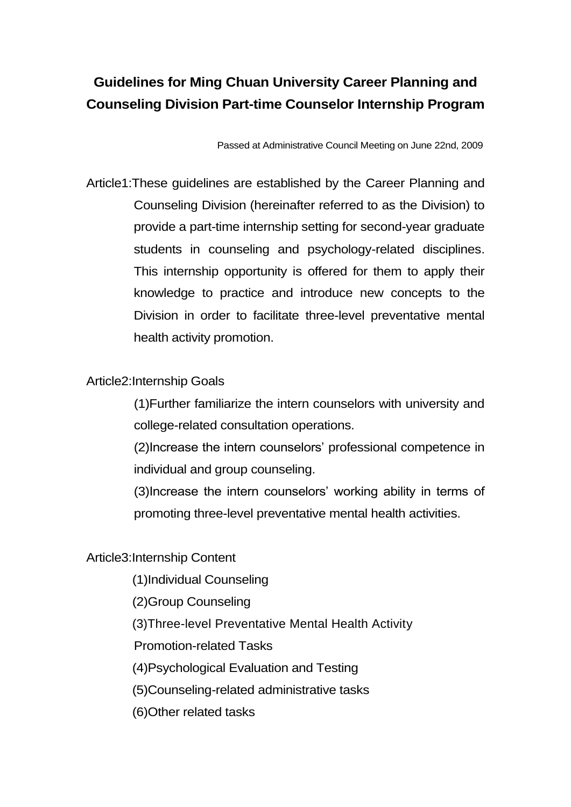# **Guidelines for Ming Chuan University Career Planning and Counseling Division Part-time Counselor Internship Program**

Passed at Administrative Council Meeting on June 22nd, 2009

Article1:These guidelines are established by the Career Planning and Counseling Division (hereinafter referred to as the Division) to provide a part-time internship setting for second-year graduate students in counseling and psychology-related disciplines. This internship opportunity is offered for them to apply their knowledge to practice and introduce new concepts to the Division in order to facilitate three-level preventative mental health activity promotion.

## Article2:Internship Goals

(1)Further familiarize the intern counselors with university and college-related consultation operations.

(2)Increase the intern counselors' professional competence in individual and group counseling.

(3)Increase the intern counselors' working ability in terms of promoting three-level preventative mental health activities.

## Article3:Internship Content

- (1)Individual Counseling
- (2)Group Counseling
- (3)Three-level Preventative Mental Health Activity
- Promotion-related Tasks
- (4)Psychological Evaluation and Testing
- (5)Counseling-related administrative tasks
- (6)Other related tasks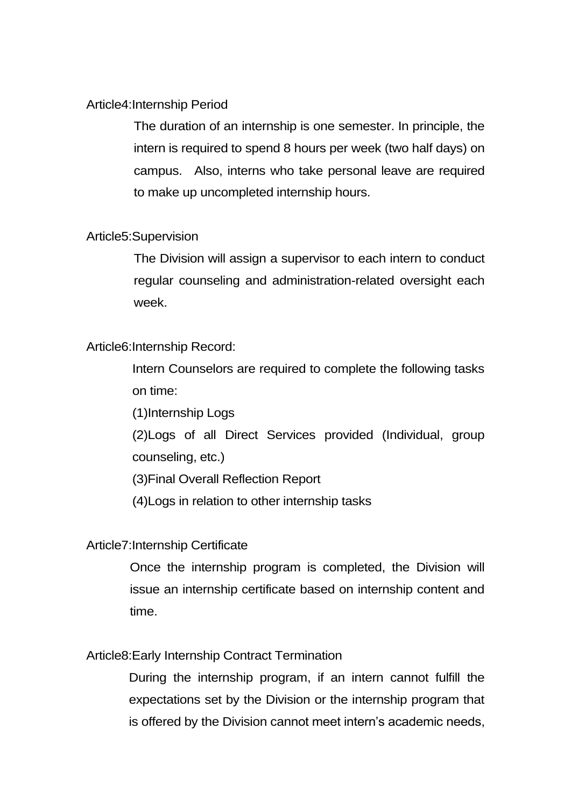#### Article4:Internship Period

The duration of an internship is one semester. In principle, the intern is required to spend 8 hours per week (two half days) on campus. Also, interns who take personal leave are required to make up uncompleted internship hours.

#### Article5:Supervision

The Division will assign a supervisor to each intern to conduct regular counseling and administration-related oversight each week.

#### Article6:Internship Record:

Intern Counselors are required to complete the following tasks on time:

(1)Internship Logs

(2)Logs of all Direct Services provided (Individual, group counseling, etc.)

(3)Final Overall Reflection Report

(4)Logs in relation to other internship tasks

#### Article7:Internship Certificate

Once the internship program is completed, the Division will issue an internship certificate based on internship content and time.

### Article8:Early Internship Contract Termination

During the internship program, if an intern cannot fulfill the expectations set by the Division or the internship program that is offered by the Division cannot meet intern's academic needs,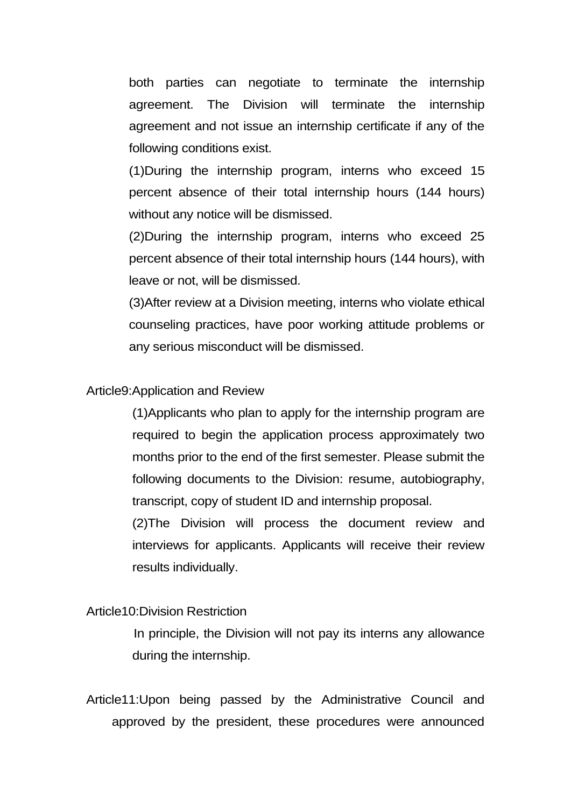both parties can negotiate to terminate the internship agreement. The Division will terminate the internship agreement and not issue an internship certificate if any of the following conditions exist.

(1)During the internship program, interns who exceed 15 percent absence of their total internship hours (144 hours) without any notice will be dismissed.

(2)During the internship program, interns who exceed 25 percent absence of their total internship hours (144 hours), with leave or not, will be dismissed.

(3)After review at a Division meeting, interns who violate ethical counseling practices, have poor working attitude problems or any serious misconduct will be dismissed.

Article9:Application and Review

(1)Applicants who plan to apply for the internship program are required to begin the application process approximately two months prior to the end of the first semester. Please submit the following documents to the Division: resume, autobiography, transcript, copy of student ID and internship proposal.

(2)The Division will process the document review and interviews for applicants. Applicants will receive their review results individually.

#### Article10:Division Restriction

In principle, the Division will not pay its interns any allowance during the internship.

Article11:Upon being passed by the Administrative Council and approved by the president, these procedures were announced